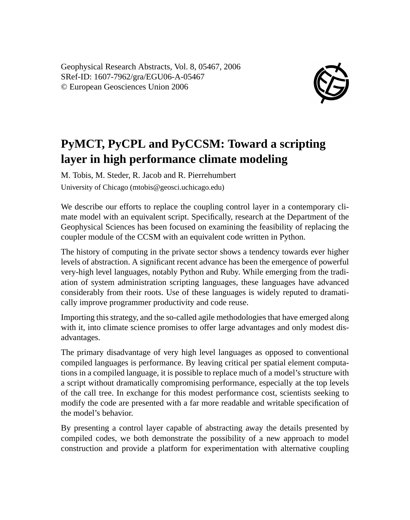Geophysical Research Abstracts, Vol. 8, 05467, 2006 SRef-ID: 1607-7962/gra/EGU06-A-05467 © European Geosciences Union 2006



## **PyMCT, PyCPL and PyCCSM: Toward a scripting layer in high performance climate modeling**

M. Tobis, M. Steder, R. Jacob and R. Pierrehumbert University of Chicago (mtobis@geosci.uchicago.edu)

We describe our efforts to replace the coupling control layer in a contemporary climate model with an equivalent script. Specifically, research at the Department of the Geophysical Sciences has been focused on examining the feasibility of replacing the coupler module of the CCSM with an equivalent code written in Python.

The history of computing in the private sector shows a tendency towards ever higher levels of abstraction. A significant recent advance has been the emergence of powerful very-high level languages, notably Python and Ruby. While emerging from the tradiation of system administration scripting languages, these languages have advanced considerably from their roots. Use of these languages is widely reputed to dramatically improve programmer productivity and code reuse.

Importing this strategy, and the so-called agile methodologies that have emerged along with it, into climate science promises to offer large advantages and only modest disadvantages.

The primary disadvantage of very high level languages as opposed to conventional compiled languages is performance. By leaving critical per spatial element computations in a compiled language, it is possible to replace much of a model's structure with a script without dramatically compromising performance, especially at the top levels of the call tree. In exchange for this modest performance cost, scientists seeking to modify the code are presented with a far more readable and writable specification of the model's behavior.

By presenting a control layer capable of abstracting away the details presented by compiled codes, we both demonstrate the possibility of a new approach to model construction and provide a platform for experimentation with alternative coupling